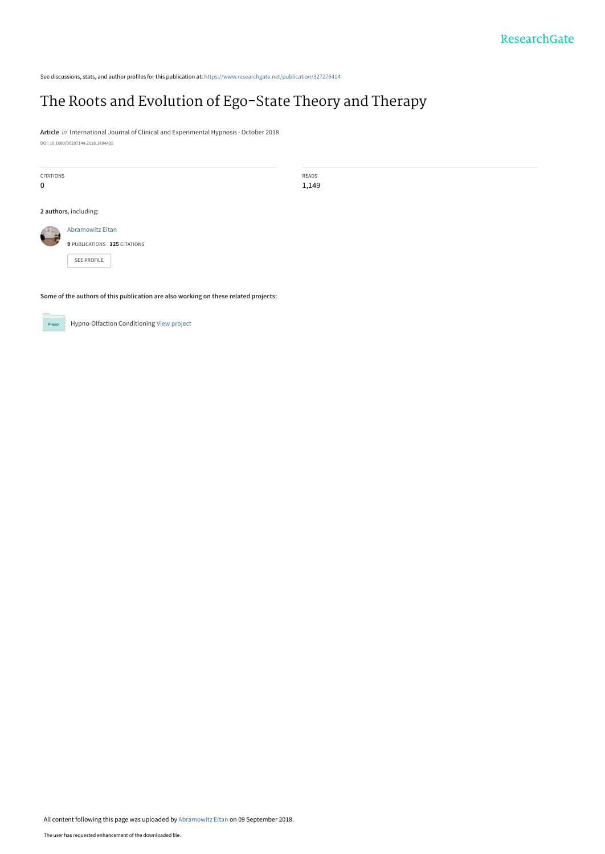See discussions, stats, and author profiles for this publication at: [https://www.researchgate.net/publication/327276414](https://www.researchgate.net/publication/327276414_The_Roots_and_Evolution_of_Ego-State_Theory_and_Therapy?enrichId=rgreq-e0911e1cde6ea8dca232afcf5019e849-XXX&enrichSource=Y292ZXJQYWdlOzMyNzI3NjQxNDtBUzo2Njg4MDk3OTQ5Njk2MDJAMTUzNjQ2ODA4OTM0Mw%3D%3D&el=1_x_2&_esc=publicationCoverPdf)

# [The Roots and Evolution of Ego-State Theory and Therapy](https://www.researchgate.net/publication/327276414_The_Roots_and_Evolution_of_Ego-State_Theory_and_Therapy?enrichId=rgreq-e0911e1cde6ea8dca232afcf5019e849-XXX&enrichSource=Y292ZXJQYWdlOzMyNzI3NjQxNDtBUzo2Njg4MDk3OTQ5Njk2MDJAMTUzNjQ2ODA4OTM0Mw%3D%3D&el=1_x_3&_esc=publicationCoverPdf)

**Article** in International Journal of Clinical and Experimental Hypnosis · October 2018 DOI: 10.1080/00207144.2018.1494435

| CITATIONS<br>0                         |                                                                        | READS<br>1,149 |  |
|----------------------------------------|------------------------------------------------------------------------|----------------|--|
|                                        | 2 authors, including:                                                  |                |  |
| $\begin{pmatrix} 1 \\ 1 \end{pmatrix}$ | <b>Abramowitz Eitan</b><br>9 PUBLICATIONS 125 CITATIONS<br>SEE PROFILE |                |  |

**Some of the authors of this publication are also working on these related projects:**



Hypno-Olfaction Conditioning [View project](https://www.researchgate.net/project/Hypno-Olfaction-Conditioning?enrichId=rgreq-e0911e1cde6ea8dca232afcf5019e849-XXX&enrichSource=Y292ZXJQYWdlOzMyNzI3NjQxNDtBUzo2Njg4MDk3OTQ5Njk2MDJAMTUzNjQ2ODA4OTM0Mw%3D%3D&el=1_x_9&_esc=publicationCoverPdf)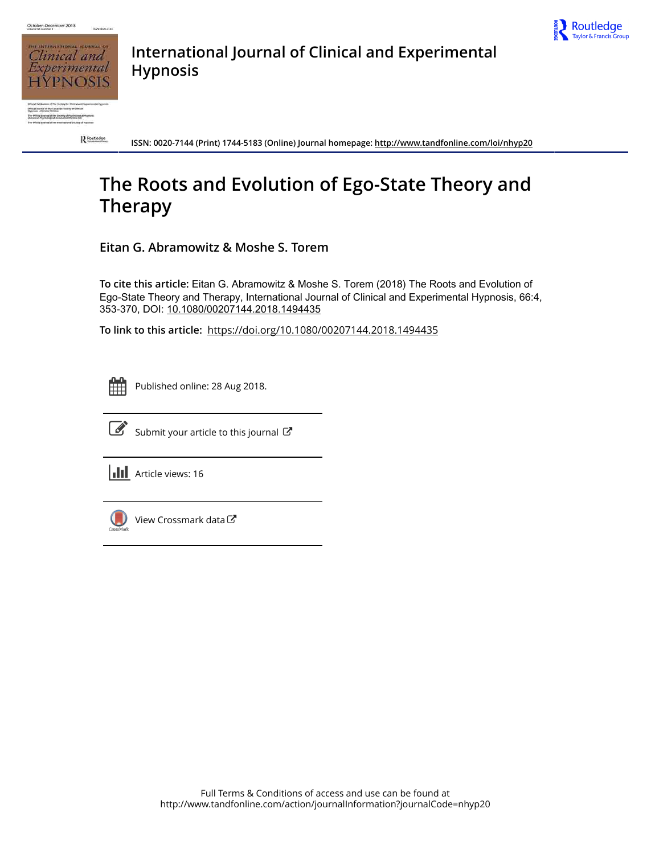



 $\mathsf{R}$  Routledge

**International Journal of Clinical and Experimental Hypnosis**

Routledge Taylor & Francis Group

.<br>Official Roamal of the Society of Psychological Hy<br>schoen Psychological Association Division (41)

**ISSN: 0020-7144 (Print) 1744-5183 (Online) Journal homepage:<http://www.tandfonline.com/loi/nhyp20>**

# **The Roots and Evolution of Ego-State Theory and Therapy**

**Eitan G. Abramowitz & Moshe S. Torem**

**To cite this article:** Eitan G. Abramowitz & Moshe S. Torem (2018) The Roots and Evolution of Ego-State Theory and Therapy, International Journal of Clinical and Experimental Hypnosis, 66:4, 353-370, DOI: [10.1080/00207144.2018.1494435](http://www.tandfonline.com/action/showCitFormats?doi=10.1080/00207144.2018.1494435)

**To link to this article:** <https://doi.org/10.1080/00207144.2018.1494435>



Published online: 28 Aug 2018.



 $\overrightarrow{S}$  [Submit your article to this journal](http://www.tandfonline.com/action/authorSubmission?journalCode=nhyp20&show=instructions)  $\overrightarrow{S}$ 

**III** Article views: 16



[View Crossmark data](http://crossmark.crossref.org/dialog/?doi=10.1080/00207144.2018.1494435&domain=pdf&date_stamp=2018-08-28) $\mathbb{C}$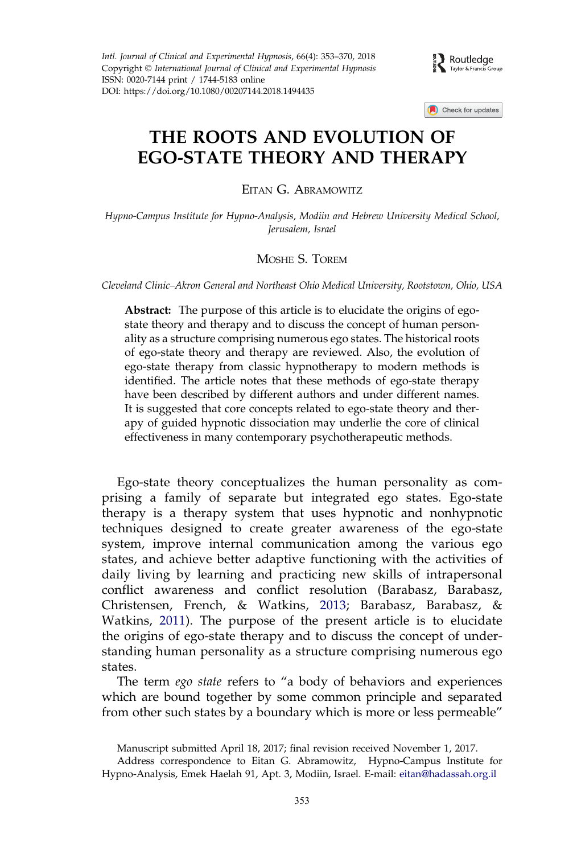

Check for updates

# <span id="page-2-0"></span>THE ROOTS AND EVOLUTION OF EGO-STATE THEORY AND THERAPY

EITAN G. ABRAMOWITZ

Hypno-Campus Institute for Hypno-Analysis, Modiin and Hebrew University Medical School, Jerusalem, Israel

#### MOSHE S. TOREM

Cleveland Clinic–Akron General and Northeast Ohio Medical University, Rootstown, Ohio, USA

Abstract: The purpose of this article is to elucidate the origins of egostate theory and therapy and to discuss the concept of human personality as a structure comprising numerous ego states. The historical roots of ego-state theory and therapy are reviewed. Also, the evolution of ego-state therapy from classic hypnotherapy to modern methods is identified. The article notes that these methods of ego-state therapy have been described by different authors and under different names. It is suggested that core concepts related to ego-state theory and therapy of guided hypnotic dissociation may underlie the core of clinical effectiveness in many contemporary psychotherapeutic methods.

Ego-state theory conceptualizes the human personality as comprising a family of separate but integrated ego states. Ego-state therapy is a therapy system that uses hypnotic and nonhypnotic techniques designed to create greater awareness of the ego-state system, improve internal communication among the various ego states, and achieve better adaptive functioning with the activities of daily living by learning and practicing new skills of intrapersonal conflict awareness and conflict resolution (Barabasz, Barabasz, Christensen, French, & Watkins, [2013](#page-13-0); Barabasz, Barabasz, & Watkins, [2011\)](#page-14-0). The purpose of the present article is to elucidate the origins of ego-state therapy and to discuss the concept of understanding human personality as a structure comprising numerous ego states.

The term ego state refers to "a body of behaviors and experiences which are bound together by some common principle and separated from other such states by a boundary which is more or less permeable"

Manuscript submitted April 18, 2017; final revision received November 1, 2017.

Address correspondence to Eitan G. Abramowitz, Hypno-Campus Institute for Hypno-Analysis, Emek Haelah 91, Apt. 3, Modiin, Israel. E-mail: [eitan@hadassah.org.il](mailto:eitan@hadassah.org.il)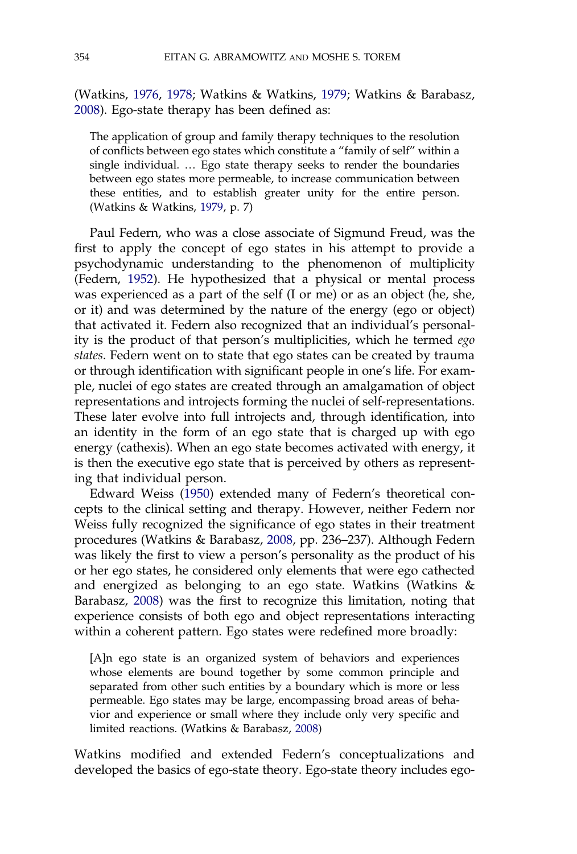<span id="page-3-0"></span>(Watkins, [1976,](#page-17-0) [1978](#page-17-0); Watkins & Watkins, [1979;](#page-17-0) Watkins & Barabasz, [2008\)](#page-17-0). Ego-state therapy has been defined as:

The application of group and family therapy techniques to the resolution of conflicts between ego states which constitute a "family of self" within a single individual. … Ego state therapy seeks to render the boundaries between ego states more permeable, to increase communication between these entities, and to establish greater unity for the entire person. (Watkins & Watkins, [1979](#page-17-0), p. 7)

Paul Federn, who was a close associate of Sigmund Freud, was the first to apply the concept of ego states in his attempt to provide a psychodynamic understanding to the phenomenon of multiplicity (Federn, [1952\)](#page-14-0). He hypothesized that a physical or mental process was experienced as a part of the self (I or me) or as an object (he, she, or it) and was determined by the nature of the energy (ego or object) that activated it. Federn also recognized that an individual's personality is the product of that person's multiplicities, which he termed ego states. Federn went on to state that ego states can be created by trauma or through identification with significant people in one's life. For example, nuclei of ego states are created through an amalgamation of object representations and introjects forming the nuclei of self-representations. These later evolve into full introjects and, through identification, into an identity in the form of an ego state that is charged up with ego energy (cathexis). When an ego state becomes activated with energy, it is then the executive ego state that is perceived by others as representing that individual person.

Edward Weiss ([1950\)](#page-18-0) extended many of Federn's theoretical concepts to the clinical setting and therapy. However, neither Federn nor Weiss fully recognized the significance of ego states in their treatment procedures (Watkins & Barabasz, [2008](#page-17-0), pp. 236–237). Although Federn was likely the first to view a person's personality as the product of his or her ego states, he considered only elements that were ego cathected and energized as belonging to an ego state. Watkins (Watkins & Barabasz, [2008](#page-17-0)) was the first to recognize this limitation, noting that experience consists of both ego and object representations interacting within a coherent pattern. Ego states were redefined more broadly:

[A]n ego state is an organized system of behaviors and experiences whose elements are bound together by some common principle and separated from other such entities by a boundary which is more or less permeable. Ego states may be large, encompassing broad areas of behavior and experience or small where they include only very specific and limited reactions. (Watkins & Barabasz, [2008](#page-17-0))

Watkins modified and extended Federn's conceptualizations and developed the basics of ego-state theory. Ego-state theory includes ego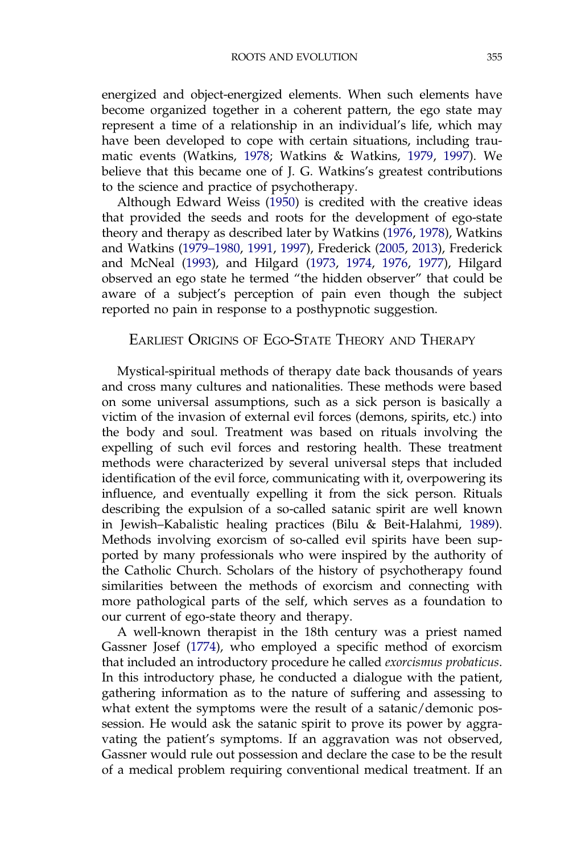<span id="page-4-0"></span>energized and object-energized elements. When such elements have become organized together in a coherent pattern, the ego state may represent a time of a relationship in an individual's life, which may have been developed to cope with certain situations, including traumatic events (Watkins, [1978](#page-17-0); Watkins & Watkins, [1979,](#page-17-0) [1997](#page-18-0)). We believe that this became one of J. G. Watkins's greatest contributions to the science and practice of psychotherapy.

Although Edward Weiss [\(1950](#page-18-0)) is credited with the creative ideas that provided the seeds and roots for the development of ego-state theory and therapy as described later by Watkins ([1976,](#page-17-0) [1978](#page-17-0)), Watkins and Watkins [\(1979](#page-17-0)–1980, [1991](#page-17-0), [1997\)](#page-18-0), Frederick ([2005,](#page-14-0) [2013\)](#page-14-0), Frederick and McNeal [\(1993](#page-14-0)), and Hilgard ([1973,](#page-15-0) [1974](#page-15-0), [1976](#page-15-0), [1977](#page-15-0)), Hilgard observed an ego state he termed "the hidden observer" that could be aware of a subject's perception of pain even though the subject reported no pain in response to a posthypnotic suggestion.

## EARLIEST ORIGINS OF EGO-STATE THEORY AND THERAPY

Mystical-spiritual methods of therapy date back thousands of years and cross many cultures and nationalities. These methods were based on some universal assumptions, such as a sick person is basically a victim of the invasion of external evil forces (demons, spirits, etc.) into the body and soul. Treatment was based on rituals involving the expelling of such evil forces and restoring health. These treatment methods were characterized by several universal steps that included identification of the evil force, communicating with it, overpowering its influence, and eventually expelling it from the sick person. Rituals describing the expulsion of a so-called satanic spirit are well known in Jewish–Kabalistic healing practices (Bilu & Beit-Halahmi, [1989](#page-14-0)). Methods involving exorcism of so-called evil spirits have been supported by many professionals who were inspired by the authority of the Catholic Church. Scholars of the history of psychotherapy found similarities between the methods of exorcism and connecting with more pathological parts of the self, which serves as a foundation to our current of ego-state theory and therapy.

A well-known therapist in the 18th century was a priest named Gassner Josef ([1774\)](#page-15-0), who employed a specific method of exorcism that included an introductory procedure he called exorcismus probaticus. In this introductory phase, he conducted a dialogue with the patient, gathering information as to the nature of suffering and assessing to what extent the symptoms were the result of a satanic/demonic possession. He would ask the satanic spirit to prove its power by aggravating the patient's symptoms. If an aggravation was not observed, Gassner would rule out possession and declare the case to be the result of a medical problem requiring conventional medical treatment. If an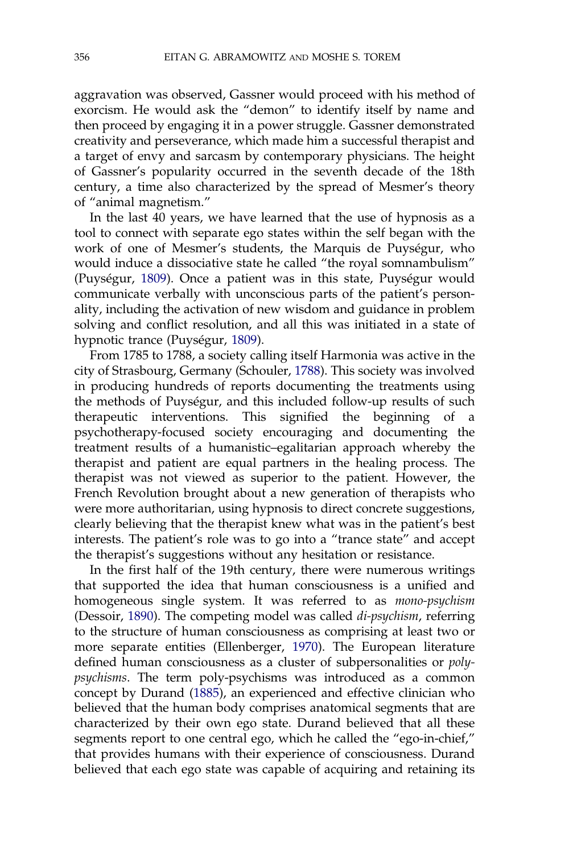<span id="page-5-0"></span>aggravation was observed, Gassner would proceed with his method of exorcism. He would ask the "demon" to identify itself by name and then proceed by engaging it in a power struggle. Gassner demonstrated creativity and perseverance, which made him a successful therapist and a target of envy and sarcasm by contemporary physicians. The height of Gassner's popularity occurred in the seventh decade of the 18th century, a time also characterized by the spread of Mesmer's theory of "animal magnetism."

In the last 40 years, we have learned that the use of hypnosis as a tool to connect with separate ego states within the self began with the work of one of Mesmer's students, the Marquis de Puységur, who would induce a dissociative state he called "the royal somnambulism" (Puységur, [1809\)](#page-16-0). Once a patient was in this state, Puységur would communicate verbally with unconscious parts of the patient's personality, including the activation of new wisdom and guidance in problem solving and conflict resolution, and all this was initiated in a state of hypnotic trance (Puységur, [1809\)](#page-16-0).

From 1785 to 1788, a society calling itself Harmonia was active in the city of Strasbourg, Germany (Schouler, [1788\)](#page-17-0). This society was involved in producing hundreds of reports documenting the treatments using the methods of Puységur, and this included follow-up results of such therapeutic interventions. This signified the beginning of a psychotherapy-focused society encouraging and documenting the treatment results of a humanistic–egalitarian approach whereby the therapist and patient are equal partners in the healing process. The therapist was not viewed as superior to the patient. However, the French Revolution brought about a new generation of therapists who were more authoritarian, using hypnosis to direct concrete suggestions, clearly believing that the therapist knew what was in the patient's best interests. The patient's role was to go into a "trance state" and accept the therapist's suggestions without any hesitation or resistance.

In the first half of the 19th century, there were numerous writings that supported the idea that human consciousness is a unified and homogeneous single system. It was referred to as *mono-psychism* (Dessoir, [1890\)](#page-14-0). The competing model was called *di-psychism*, referring to the structure of human consciousness as comprising at least two or more separate entities (Ellenberger, [1970](#page-14-0)). The European literature defined human consciousness as a cluster of subpersonalities or *poly*psychisms. The term poly-psychisms was introduced as a common concept by Durand ([1885\)](#page-14-0), an experienced and effective clinician who believed that the human body comprises anatomical segments that are characterized by their own ego state. Durand believed that all these segments report to one central ego, which he called the "ego-in-chief," that provides humans with their experience of consciousness. Durand believed that each ego state was capable of acquiring and retaining its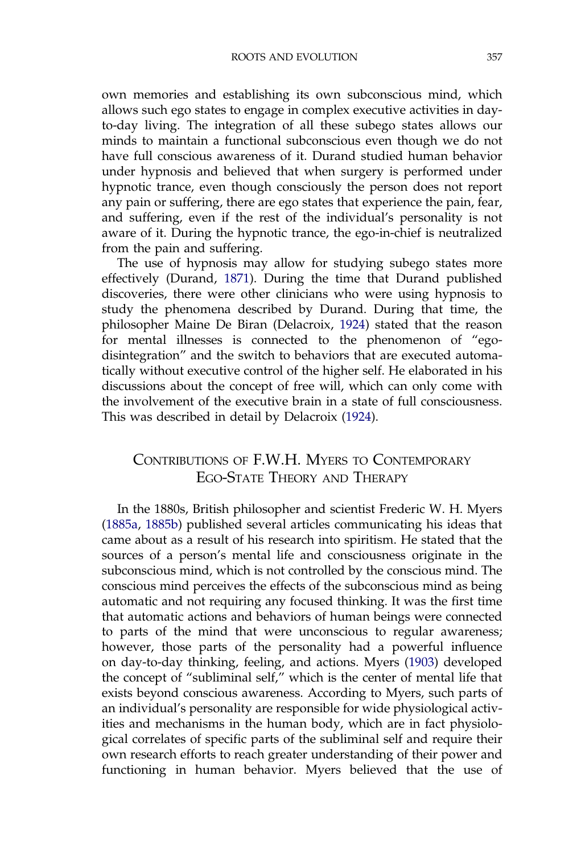<span id="page-6-0"></span>own memories and establishing its own subconscious mind, which allows such ego states to engage in complex executive activities in dayto-day living. The integration of all these subego states allows our minds to maintain a functional subconscious even though we do not have full conscious awareness of it. Durand studied human behavior under hypnosis and believed that when surgery is performed under hypnotic trance, even though consciously the person does not report any pain or suffering, there are ego states that experience the pain, fear, and suffering, even if the rest of the individual's personality is not aware of it. During the hypnotic trance, the ego-in-chief is neutralized from the pain and suffering.

The use of hypnosis may allow for studying subego states more effectively (Durand, [1871\)](#page-14-0). During the time that Durand published discoveries, there were other clinicians who were using hypnosis to study the phenomena described by Durand. During that time, the philosopher Maine De Biran (Delacroix, [1924\)](#page-14-0) stated that the reason for mental illnesses is connected to the phenomenon of "egodisintegration" and the switch to behaviors that are executed automatically without executive control of the higher self. He elaborated in his discussions about the concept of free will, which can only come with the involvement of the executive brain in a state of full consciousness. This was described in detail by Delacroix ([1924\)](#page-14-0).

# CONTRIBUTIONS OF F.W.H. MYERS TO CONTEMPORARY EGO-STATE THEORY AND THERAPY

In the 1880s, British philosopher and scientist Frederic W. H. Myers ([1885a,](#page-16-0) [1885b\)](#page-16-0) published several articles communicating his ideas that came about as a result of his research into spiritism. He stated that the sources of a person's mental life and consciousness originate in the subconscious mind, which is not controlled by the conscious mind. The conscious mind perceives the effects of the subconscious mind as being automatic and not requiring any focused thinking. It was the first time that automatic actions and behaviors of human beings were connected to parts of the mind that were unconscious to regular awareness; however, those parts of the personality had a powerful influence on day-to-day thinking, feeling, and actions. Myers ([1903\)](#page-16-0) developed the concept of "subliminal self," which is the center of mental life that exists beyond conscious awareness. According to Myers, such parts of an individual's personality are responsible for wide physiological activities and mechanisms in the human body, which are in fact physiological correlates of specific parts of the subliminal self and require their own research efforts to reach greater understanding of their power and functioning in human behavior. Myers believed that the use of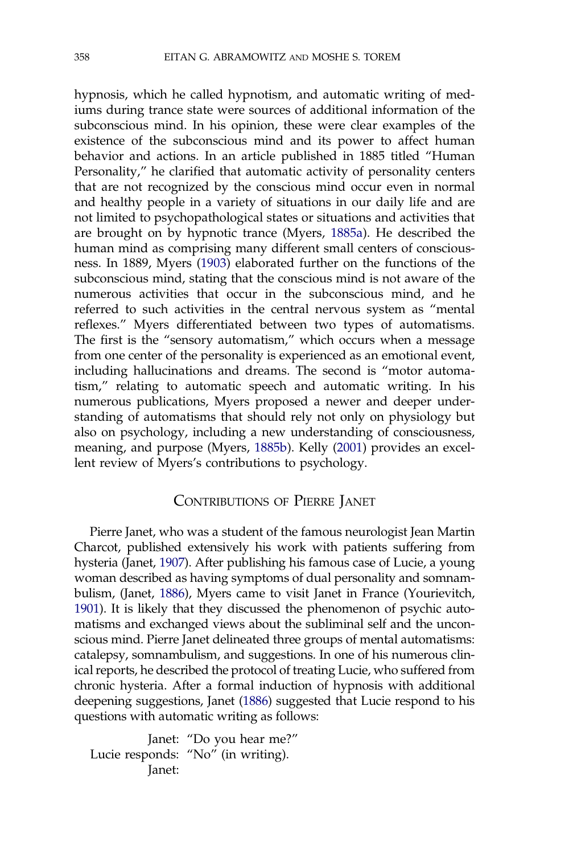<span id="page-7-0"></span>hypnosis, which he called hypnotism, and automatic writing of mediums during trance state were sources of additional information of the subconscious mind. In his opinion, these were clear examples of the existence of the subconscious mind and its power to affect human behavior and actions. In an article published in 1885 titled "Human Personality," he clarified that automatic activity of personality centers that are not recognized by the conscious mind occur even in normal and healthy people in a variety of situations in our daily life and are not limited to psychopathological states or situations and activities that are brought on by hypnotic trance (Myers, [1885a](#page-16-0)). He described the human mind as comprising many different small centers of consciousness. In 1889, Myers ([1903\)](#page-16-0) elaborated further on the functions of the subconscious mind, stating that the conscious mind is not aware of the numerous activities that occur in the subconscious mind, and he referred to such activities in the central nervous system as "mental reflexes." Myers differentiated between two types of automatisms. The first is the "sensory automatism," which occurs when a message from one center of the personality is experienced as an emotional event, including hallucinations and dreams. The second is "motor automatism," relating to automatic speech and automatic writing. In his numerous publications, Myers proposed a newer and deeper understanding of automatisms that should rely not only on physiology but also on psychology, including a new understanding of consciousness, meaning, and purpose (Myers, [1885b](#page-16-0)). Kelly ([2001\)](#page-16-0) provides an excellent review of Myers's contributions to psychology.

# CONTRIBUTIONS OF PIERRE JANET

Pierre Janet, who was a student of the famous neurologist Jean Martin Charcot, published extensively his work with patients suffering from hysteria (Janet, [1907\)](#page-16-0). After publishing his famous case of Lucie, a young woman described as having symptoms of dual personality and somnambulism, (Janet, [1886\)](#page-15-0), Myers came to visit Janet in France (Yourievitch, [1901\)](#page-18-0). It is likely that they discussed the phenomenon of psychic automatisms and exchanged views about the subliminal self and the unconscious mind. Pierre Janet delineated three groups of mental automatisms: catalepsy, somnambulism, and suggestions. In one of his numerous clinical reports, he described the protocol of treating Lucie, who suffered from chronic hysteria. After a formal induction of hypnosis with additional deepening suggestions, Janet ([1886](#page-15-0)) suggested that Lucie respond to his questions with automatic writing as follows:

Janet: "Do you hear me?" Lucie responds: "No" (in writing). Janet: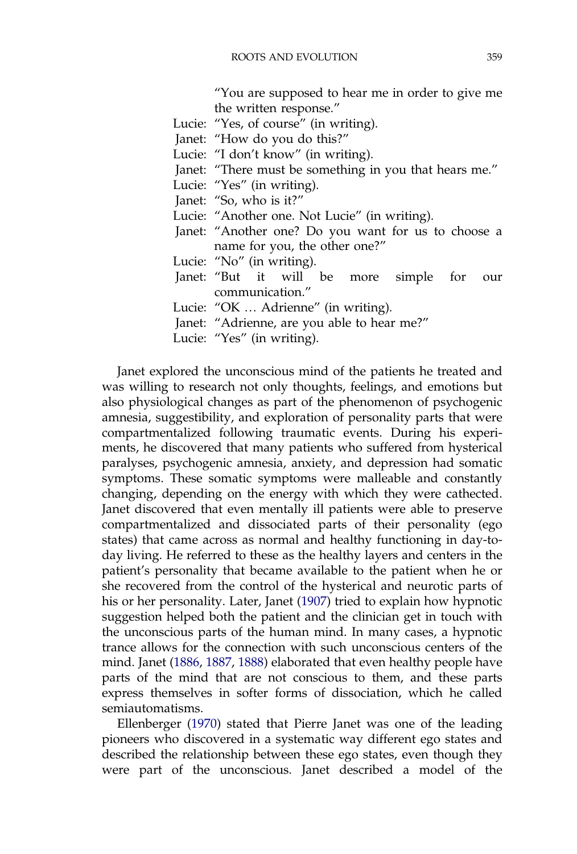"You are supposed to hear me in order to give me the written response."

<span id="page-8-0"></span>Lucie: "Yes, of course" (in writing).

Janet: "How do you do this?"

Lucie: "I don't know" (in writing).

Janet: "There must be something in you that hears me."

Lucie: "Yes" (in writing).

Janet: "So, who is it?"

Lucie: "Another one. Not Lucie" (in writing).

Janet: "Another one? Do you want for us to choose a name for you, the other one?"

- Lucie: "No" (in writing).
- Janet: "But it will be more simple for our communication."

Lucie: "OK … Adrienne" (in writing).

- Janet: "Adrienne, are you able to hear me?"
- Lucie: "Yes" (in writing).

Janet explored the unconscious mind of the patients he treated and was willing to research not only thoughts, feelings, and emotions but also physiological changes as part of the phenomenon of psychogenic amnesia, suggestibility, and exploration of personality parts that were compartmentalized following traumatic events. During his experiments, he discovered that many patients who suffered from hysterical paralyses, psychogenic amnesia, anxiety, and depression had somatic symptoms. These somatic symptoms were malleable and constantly changing, depending on the energy with which they were cathected. Janet discovered that even mentally ill patients were able to preserve compartmentalized and dissociated parts of their personality (ego states) that came across as normal and healthy functioning in day-today living. He referred to these as the healthy layers and centers in the patient's personality that became available to the patient when he or she recovered from the control of the hysterical and neurotic parts of his or her personality. Later, Janet ([1907\)](#page-16-0) tried to explain how hypnotic suggestion helped both the patient and the clinician get in touch with the unconscious parts of the human mind. In many cases, a hypnotic trance allows for the connection with such unconscious centers of the mind. Janet ([1886,](#page-15-0) [1887,](#page-15-0) [1888\)](#page-15-0) elaborated that even healthy people have parts of the mind that are not conscious to them, and these parts express themselves in softer forms of dissociation, which he called semiautomatisms.

Ellenberger [\(1970](#page-14-0)) stated that Pierre Janet was one of the leading pioneers who discovered in a systematic way different ego states and described the relationship between these ego states, even though they were part of the unconscious. Janet described a model of the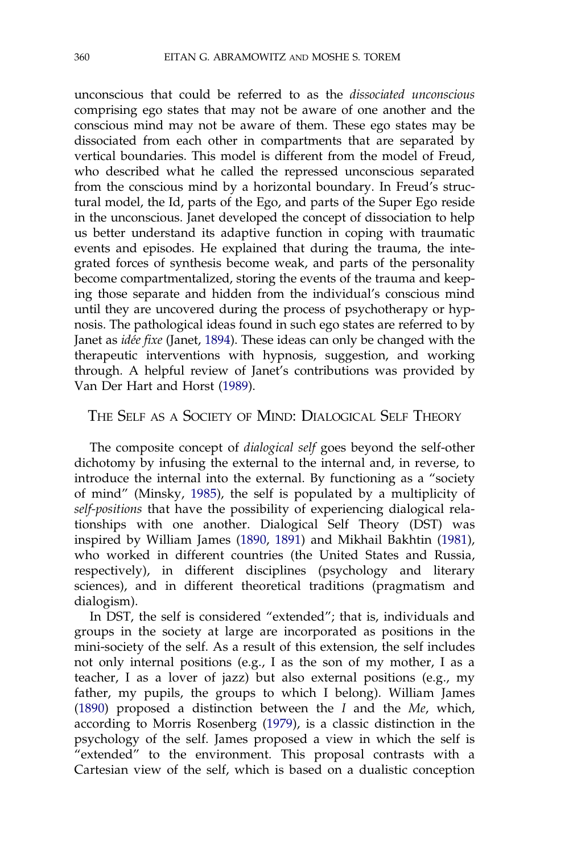<span id="page-9-0"></span>unconscious that could be referred to as the dissociated unconscious comprising ego states that may not be aware of one another and the conscious mind may not be aware of them. These ego states may be dissociated from each other in compartments that are separated by vertical boundaries. This model is different from the model of Freud, who described what he called the repressed unconscious separated from the conscious mind by a horizontal boundary. In Freud's structural model, the Id, parts of the Ego, and parts of the Super Ego reside in the unconscious. Janet developed the concept of dissociation to help us better understand its adaptive function in coping with traumatic events and episodes. He explained that during the trauma, the integrated forces of synthesis become weak, and parts of the personality become compartmentalized, storing the events of the trauma and keeping those separate and hidden from the individual's conscious mind until they are uncovered during the process of psychotherapy or hypnosis. The pathological ideas found in such ego states are referred to by Janet as idée fixe (Janet, [1894\)](#page-16-0). These ideas can only be changed with the therapeutic interventions with hypnosis, suggestion, and working through. A helpful review of Janet's contributions was provided by Van Der Hart and Horst ([1989\)](#page-17-0).

## THE SELF AS A SOCIETY OF MIND: DIALOGICAL SELF THEORY

The composite concept of dialogical self goes beyond the self-other dichotomy by infusing the external to the internal and, in reverse, to introduce the internal into the external. By functioning as a "society of mind" (Minsky, [1985](#page-16-0)), the self is populated by a multiplicity of self-positions that have the possibility of experiencing dialogical relationships with one another. Dialogical Self Theory (DST) was inspired by William James ([1890,](#page-15-0) [1891\)](#page-15-0) and Mikhail Bakhtin [\(1981\)](#page-13-0), who worked in different countries (the United States and Russia, respectively), in different disciplines (psychology and literary sciences), and in different theoretical traditions (pragmatism and dialogism).

In DST, the self is considered "extended"; that is, individuals and groups in the society at large are incorporated as positions in the mini-society of the self. As a result of this extension, the self includes not only internal positions (e.g., I as the son of my mother, I as a teacher, I as a lover of jazz) but also external positions (e.g., my father, my pupils, the groups to which I belong). William James [\(1890\)](#page-15-0) proposed a distinction between the  $I$  and the  $Me$ , which, according to Morris Rosenberg [\(1979](#page-16-0)), is a classic distinction in the psychology of the self. James proposed a view in which the self is "extended" to the environment. This proposal contrasts with a Cartesian view of the self, which is based on a dualistic conception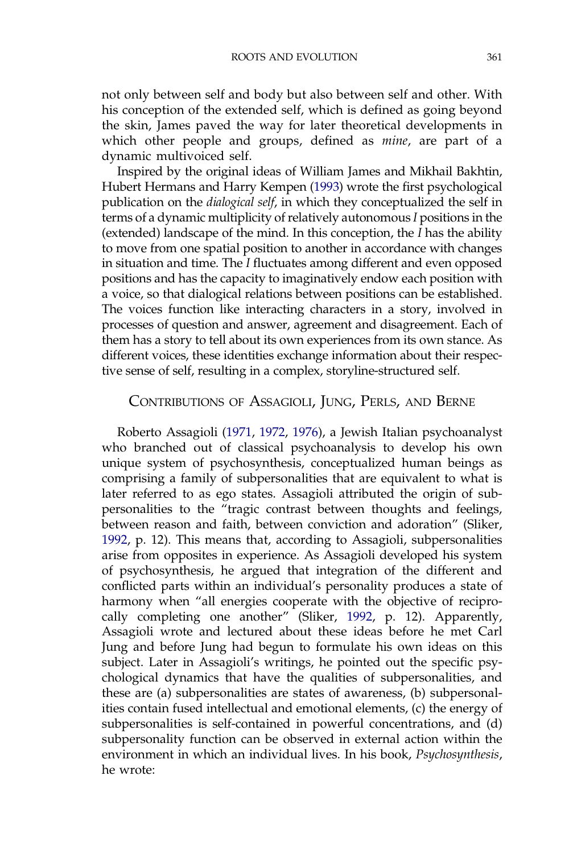<span id="page-10-0"></span>not only between self and body but also between self and other. With his conception of the extended self, which is defined as going beyond the skin, James paved the way for later theoretical developments in which other people and groups, defined as mine, are part of a dynamic multivoiced self.

Inspired by the original ideas of William James and Mikhail Bakhtin, Hubert Hermans and Harry Kempen [\(1993\)](#page-15-0) wrote the first psychological publication on the dialogical self, in which they conceptualized the self in terms of a dynamic multiplicity of relatively autonomous I positions in the (extended) landscape of the mind. In this conception, the I has the ability to move from one spatial position to another in accordance with changes in situation and time. The I fluctuates among different and even opposed positions and has the capacity to imaginatively endow each position with a voice, so that dialogical relations between positions can be established. The voices function like interacting characters in a story, involved in processes of question and answer, agreement and disagreement. Each of them has a story to tell about its own experiences from its own stance. As different voices, these identities exchange information about their respective sense of self, resulting in a complex, storyline-structured self.

### CONTRIBUTIONS OF ASSAGIOLI, JUNG, PERLS, AND BERNE

Roberto Assagioli ([1971](#page-13-0), [1972](#page-13-0), [1976](#page-13-0)), a Jewish Italian psychoanalyst who branched out of classical psychoanalysis to develop his own unique system of psychosynthesis, conceptualized human beings as comprising a family of subpersonalities that are equivalent to what is later referred to as ego states. Assagioli attributed the origin of subpersonalities to the "tragic contrast between thoughts and feelings, between reason and faith, between conviction and adoration" (Sliker, [1992](#page-17-0), p. 12). This means that, according to Assagioli, subpersonalities arise from opposites in experience. As Assagioli developed his system of psychosynthesis, he argued that integration of the different and conflicted parts within an individual's personality produces a state of harmony when "all energies cooperate with the objective of reciprocally completing one another" (Sliker, [1992,](#page-17-0) p. 12). Apparently, Assagioli wrote and lectured about these ideas before he met Carl Jung and before Jung had begun to formulate his own ideas on this subject. Later in Assagioli's writings, he pointed out the specific psychological dynamics that have the qualities of subpersonalities, and these are (a) subpersonalities are states of awareness, (b) subpersonalities contain fused intellectual and emotional elements, (c) the energy of subpersonalities is self-contained in powerful concentrations, and (d) subpersonality function can be observed in external action within the environment in which an individual lives. In his book, Psychosynthesis, he wrote: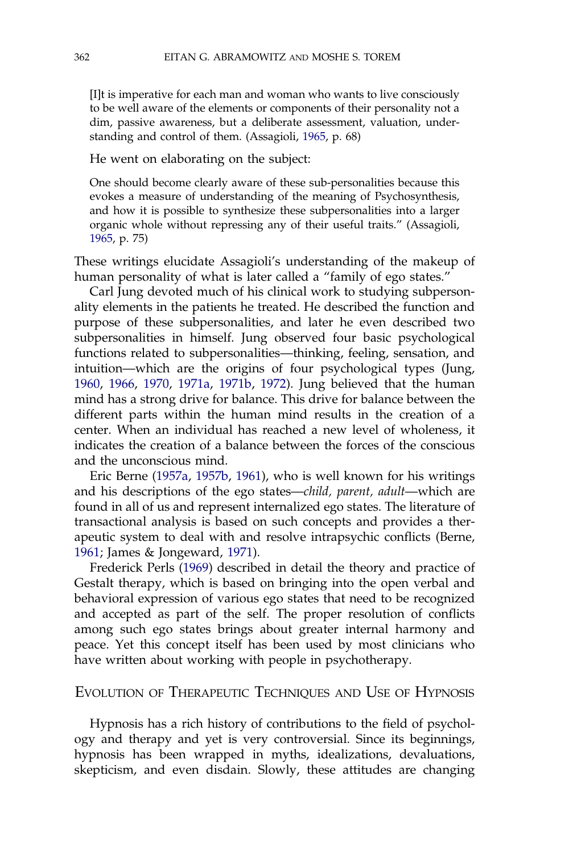<span id="page-11-0"></span>[I]t is imperative for each man and woman who wants to live consciously to be well aware of the elements or components of their personality not a dim, passive awareness, but a deliberate assessment, valuation, understanding and control of them. (Assagioli, [1965](#page-13-0), p. 68)

He went on elaborating on the subject:

One should become clearly aware of these sub-personalities because this evokes a measure of understanding of the meaning of Psychosynthesis, and how it is possible to synthesize these subpersonalities into a larger organic whole without repressing any of their useful traits." (Assagioli, [1965,](#page-13-0) p. 75)

These writings elucidate Assagioli's understanding of the makeup of human personality of what is later called a "family of ego states."

Carl Jung devoted much of his clinical work to studying subpersonality elements in the patients he treated. He described the function and purpose of these subpersonalities, and later he even described two subpersonalities in himself. Jung observed four basic psychological functions related to subpersonalities—thinking, feeling, sensation, and intuition—which are the origins of four psychological types (Jung, [1960,](#page-16-0) [1966,](#page-16-0) [1970,](#page-16-0) [1971a,](#page-16-0) [1971b](#page-16-0), [1972](#page-16-0)). Jung believed that the human mind has a strong drive for balance. This drive for balance between the different parts within the human mind results in the creation of a center. When an individual has reached a new level of wholeness, it indicates the creation of a balance between the forces of the conscious and the unconscious mind.

Eric Berne ([1957a,](#page-14-0) [1957b](#page-14-0), [1961](#page-14-0)), who is well known for his writings and his descriptions of the ego states—child, parent, adult—which are found in all of us and represent internalized ego states. The literature of transactional analysis is based on such concepts and provides a therapeutic system to deal with and resolve intrapsychic conflicts (Berne, [1961;](#page-14-0) James & Jongeward, [1971](#page-15-0)).

Frederick Perls ([1969\)](#page-16-0) described in detail the theory and practice of Gestalt therapy, which is based on bringing into the open verbal and behavioral expression of various ego states that need to be recognized and accepted as part of the self. The proper resolution of conflicts among such ego states brings about greater internal harmony and peace. Yet this concept itself has been used by most clinicians who have written about working with people in psychotherapy.

### EVOLUTION OF THERAPEUTIC TECHNIQUES AND USE OF HYPNOSIS

Hypnosis has a rich history of contributions to the field of psychology and therapy and yet is very controversial. Since its beginnings, hypnosis has been wrapped in myths, idealizations, devaluations, skepticism, and even disdain. Slowly, these attitudes are changing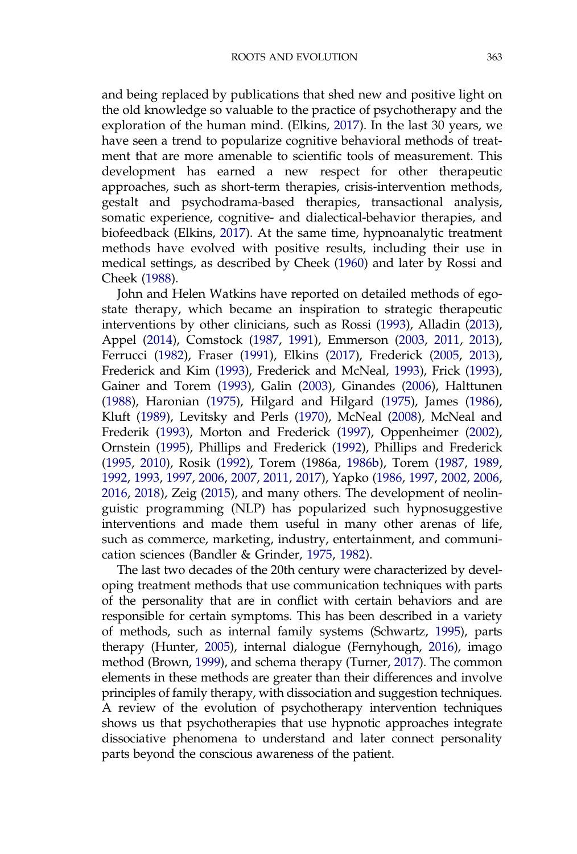<span id="page-12-0"></span>and being replaced by publications that shed new and positive light on the old knowledge so valuable to the practice of psychotherapy and the exploration of the human mind. (Elkins, [2017](#page-14-0)). In the last 30 years, we have seen a trend to popularize cognitive behavioral methods of treatment that are more amenable to scientific tools of measurement. This development has earned a new respect for other therapeutic approaches, such as short-term therapies, crisis-intervention methods, gestalt and psychodrama-based therapies, transactional analysis, somatic experience, cognitive- and dialectical-behavior therapies, and biofeedback (Elkins, [2017\)](#page-14-0). At the same time, hypnoanalytic treatment methods have evolved with positive results, including their use in medical settings, as described by Cheek [\(1960\)](#page-14-0) and later by Rossi and Cheek ([1988\)](#page-17-0).

John and Helen Watkins have reported on detailed methods of egostate therapy, which became an inspiration to strategic therapeutic interventions by other clinicians, such as Rossi ([1993\)](#page-17-0), Alladin [\(2013](#page-13-0)), Appel ([2014\)](#page-13-0), Comstock ([1987,](#page-14-0) [1991\)](#page-14-0), Emmerson [\(2003](#page-14-0), [2011,](#page-14-0) [2013](#page-14-0)), Ferrucci [\(1982](#page-14-0)), Fraser [\(1991](#page-14-0)), Elkins [\(2017](#page-14-0)), Frederick [\(2005](#page-14-0), [2013](#page-14-0)), Frederick and Kim [\(1993](#page-14-0)), Frederick and McNeal, [1993](#page-14-0)), Frick [\(1993](#page-15-0)), Gainer and Torem ([1993\)](#page-15-0), Galin ([2003\)](#page-15-0), Ginandes ([2006\)](#page-15-0), Halttunen ([1988\)](#page-15-0), Haronian [\(1975](#page-15-0)), Hilgard and Hilgard ([1975](#page-15-0)), James [\(1986](#page-15-0)), Kluft ([1989\)](#page-16-0), Levitsky and Perls [\(1970\)](#page-16-0), McNeal ([2008\)](#page-16-0), McNeal and Frederik ([1993\)](#page-16-0), Morton and Frederick [\(1997](#page-16-0)), Oppenheimer [\(2002](#page-16-0)), Ornstein ([1995\)](#page-16-0), Phillips and Frederick [\(1992](#page-16-0)), Phillips and Frederick ([1995,](#page-16-0) [2010\)](#page-16-0), Rosik ([1992\)](#page-16-0), Torem (1986a, [1986b\)](#page-17-0), Torem ([1987,](#page-17-0) [1989](#page-17-0), [1992](#page-17-0), [1993,](#page-17-0) [1997,](#page-17-0) [2006](#page-17-0), [2007](#page-17-0), [2011,](#page-17-0) [2017\)](#page-17-0), Yapko ([1986,](#page-18-0) [1997,](#page-18-0) [2002](#page-18-0), [2006](#page-18-0), [2016](#page-18-0), [2018\)](#page-18-0), Zeig ([2015\)](#page-18-0), and many others. The development of neolinguistic programming (NLP) has popularized such hypnosuggestive interventions and made them useful in many other arenas of life, such as commerce, marketing, industry, entertainment, and communication sciences (Bandler & Grinder, [1975](#page-13-0), [1982](#page-13-0)).

The last two decades of the 20th century were characterized by developing treatment methods that use communication techniques with parts of the personality that are in conflict with certain behaviors and are responsible for certain symptoms. This has been described in a variety of methods, such as internal family systems (Schwartz, [1995](#page-17-0)), parts therapy (Hunter, [2005](#page-15-0)), internal dialogue (Fernyhough, [2016](#page-14-0)), imago method (Brown, [1999\)](#page-14-0), and schema therapy (Turner, [2017](#page-17-0)). The common elements in these methods are greater than their differences and involve principles of family therapy, with dissociation and suggestion techniques. A review of the evolution of psychotherapy intervention techniques shows us that psychotherapies that use hypnotic approaches integrate dissociative phenomena to understand and later connect personality parts beyond the conscious awareness of the patient.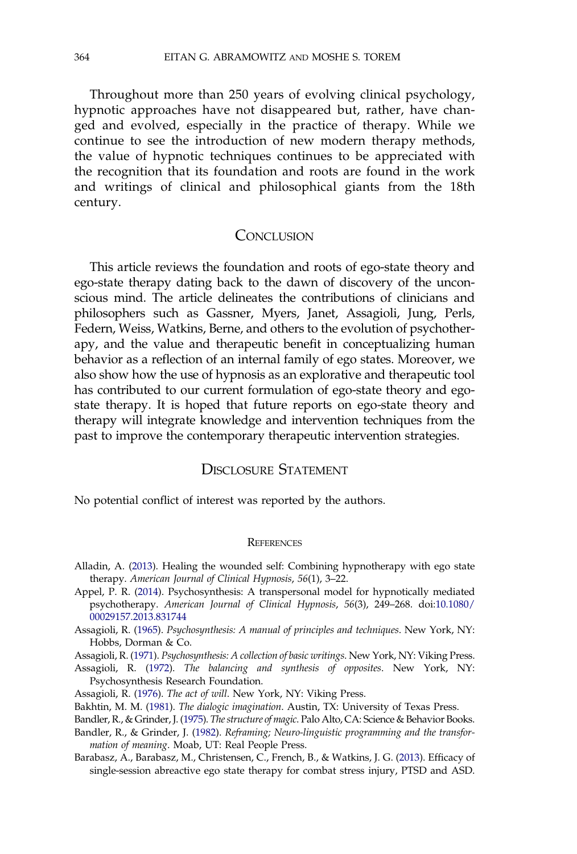<span id="page-13-0"></span>Throughout more than 250 years of evolving clinical psychology, hypnotic approaches have not disappeared but, rather, have changed and evolved, especially in the practice of therapy. While we continue to see the introduction of new modern therapy methods, the value of hypnotic techniques continues to be appreciated with the recognition that its foundation and roots are found in the work and writings of clinical and philosophical giants from the 18th century.

### **CONCLUSION**

This article reviews the foundation and roots of ego-state theory and ego-state therapy dating back to the dawn of discovery of the unconscious mind. The article delineates the contributions of clinicians and philosophers such as Gassner, Myers, Janet, Assagioli, Jung, Perls, Federn, Weiss, Watkins, Berne, and others to the evolution of psychotherapy, and the value and therapeutic benefit in conceptualizing human behavior as a reflection of an internal family of ego states. Moreover, we also show how the use of hypnosis as an explorative and therapeutic tool has contributed to our current formulation of ego-state theory and egostate therapy. It is hoped that future reports on ego-state theory and therapy will integrate knowledge and intervention techniques from the past to improve the contemporary therapeutic intervention strategies.

#### DISCLOSURE STATEMENT

No potential conflict of interest was reported by the authors.

#### **REFERENCES**

- Alladin, A. [\(2013\)](#page-12-0). Healing the wounded self: Combining hypnotherapy with ego state therapy. American Journal of Clinical Hypnosis, 56(1), 3–22.
- Appel, P. R. [\(2014](#page-12-0)). Psychosynthesis: A transpersonal model for hypnotically mediated psychotherapy. American Journal of Clinical Hypnosis, 56(3), 249–268. doi:[10.1080/](http://dx.doi.org/10.1080/00029157.2013.831744) [00029157.2013.831744](http://dx.doi.org/10.1080/00029157.2013.831744)
- Assagioli, R. [\(1965\)](#page-11-0). Psychosynthesis: A manual of principles and techniques. New York, NY: Hobbs, Dorman & Co.
- Assagioli, R. [\(1971\)](#page-10-0). Psychosynthesis: A collection of basic writings. New York, NY: Viking Press.
- Assagioli, R. [\(1972](#page-10-0)). The balancing and synthesis of opposites. New York, NY: Psychosynthesis Research Foundation.
- Assagioli, R. [\(1976](#page-10-0)). The act of will. New York, NY: Viking Press.
- Bakhtin, M. M. [\(1981](#page-9-0)). The dialogic imagination. Austin, TX: University of Texas Press.
- Bandler, R., & Grinder, J. [\(1975](#page-12-0)). The structure of magic. Palo Alto, CA: Science & Behavior Books.
- Bandler, R., & Grinder, J. [\(1982](#page-12-0)). Reframing; Neuro-linguistic programming and the transformation of meaning. Moab, UT: Real People Press.
- Barabasz, A., Barabasz, M., Christensen, C., French, B., & Watkins, J. G. [\(2013](#page-2-0)). Efficacy of single-session abreactive ego state therapy for combat stress injury, PTSD and ASD.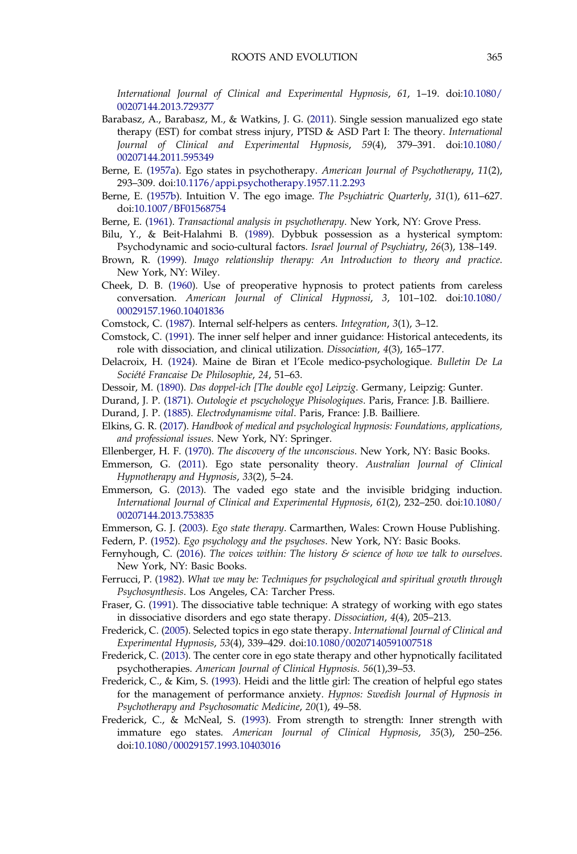<span id="page-14-0"></span>International Journal of Clinical and Experimental Hypnosis, 61, 1–19. doi[:10.1080/](http://dx.doi.org/10.1080/00207144.2013.729377) [00207144.2013.729377](http://dx.doi.org/10.1080/00207144.2013.729377)

- Barabasz, A., Barabasz, M., & Watkins, J. G. [\(2011\)](#page-2-0). Single session manualized ego state therapy (EST) for combat stress injury, PTSD & ASD Part I: The theory. International Journal of Clinical and Experimental Hypnosis, 59(4), 379–391. doi[:10.1080/](http://dx.doi.org/10.1080/00207144.2011.595349) [00207144.2011.595349](http://dx.doi.org/10.1080/00207144.2011.595349)
- Berne, E. [\(1957a\)](#page-11-0). Ego states in psychotherapy. American Journal of Psychotherapy, 11(2), 293–309. doi[:10.1176/appi.psychotherapy.1957.11.2.293](http://dx.doi.org/10.1176/appi.psychotherapy.1957.11.2.293)
- Berne, E. [\(1957b](#page-11-0)). Intuition V. The ego image. The Psychiatric Quarterly, 31(1), 611–627. doi:[10.1007/BF01568754](http://dx.doi.org/10.1007/BF01568754)
- Berne, E. ([1961\)](#page-11-0). Transactional analysis in psychotherapy. New York, NY: Grove Press.
- Bilu, Y., & Beit-Halahmi B. ([1989](#page-4-0)). Dybbuk possession as a hysterical symptom: Psychodynamic and socio-cultural factors. Israel Journal of Psychiatry, 26(3), 138–149.
- Brown, R. [\(1999](#page-12-0)). Imago relationship therapy: An Introduction to theory and practice. New York, NY: Wiley.
- Cheek, D. B. [\(1960\)](#page-12-0). Use of preoperative hypnosis to protect patients from careless conversation. American Journal of Clinical Hypnossi, 3, 101–102. doi[:10.1080/](http://dx.doi.org/10.1080/00029157.1960.10401836) [00029157.1960.10401836](http://dx.doi.org/10.1080/00029157.1960.10401836)
- Comstock, C. ([1987\)](#page-12-0). Internal self-helpers as centers. Integration, 3(1), 3–12.
- Comstock, C. [\(1991](#page-12-0)). The inner self helper and inner guidance: Historical antecedents, its role with dissociation, and clinical utilization. Dissociation, 4(3), 165–177.
- Delacroix, H. ([1924\)](#page-6-0). Maine de Biran et l'Ecole medico-psychologique. Bulletin De La Société Francaise De Philosophie, 24, 51–63.
- Dessoir, M. ([1890\)](#page-5-0). Das doppel-ich [The double ego] Leipzig. Germany, Leipzig: Gunter.
- Durand, J. P. [\(1871](#page-6-0)). Outologie et pscychologye Phisologiques. Paris, France: J.B. Bailliere.
- Durand, J. P. [\(1885](#page-5-0)). Electrodynamisme vital. Paris, France: J.B. Bailliere.
- Elkins, G. R. [\(2017\)](#page-12-0). Handbook of medical and psychological hypnosis: Foundations, applications, and professional issues. New York, NY: Springer.
- Ellenberger, H. F. ([1970\)](#page-5-0). The discovery of the unconscious. New York, NY: Basic Books.
- Emmerson, G. ([2011\)](#page-12-0). Ego state personality theory. Australian Journal of Clinical Hypnotherapy and Hypnosis, 33(2), 5–24.
- Emmerson, G. [\(2013](#page-12-0)). The vaded ego state and the invisible bridging induction. International Journal of Clinical and Experimental Hypnosis, 61(2), 232–250. doi[:10.1080/](http://dx.doi.org/10.1080/00207144.2013.753835) [00207144.2013.753835](http://dx.doi.org/10.1080/00207144.2013.753835)
- Emmerson, G. J. [\(2003](#page-12-0)). Ego state therapy. Carmarthen, Wales: Crown House Publishing.
- Federn, P. [\(1952](#page-3-0)). Ego psychology and the psychoses. New York, NY: Basic Books.
- Fernyhough, C. [\(2016](#page-12-0)). The voices within: The history & science of how we talk to ourselves. New York, NY: Basic Books.
- Ferrucci, P. ([1982](#page-12-0)). What we may be: Techniques for psychological and spiritual growth through Psychosynthesis. Los Angeles, CA: Tarcher Press.
- Fraser, G. ([1991\)](#page-12-0). The dissociative table technique: A strategy of working with ego states in dissociative disorders and ego state therapy. Dissociation, 4(4), 205–213.
- Frederick, C. [\(2005](#page-4-0)). Selected topics in ego state therapy. International Journal of Clinical and Experimental Hypnosis, 53(4), 339–429. doi[:10.1080/00207140591007518](http://dx.doi.org/10.1080/00207140591007518)
- Frederick, C. ([2013](#page-4-0)). The center core in ego state therapy and other hypnotically facilitated psychotherapies. American Journal of Clinical Hypnosis. 56(1),39–53.
- Frederick, C., & Kim, S. ([1993](#page-12-0)). Heidi and the little girl: The creation of helpful ego states for the management of performance anxiety. Hypnos: Swedish Journal of Hypnosis in Psychotherapy and Psychosomatic Medicine, 20(1), 49–58.
- Frederick, C., & McNeal, S. [\(1993\)](#page-4-0). From strength to strength: Inner strength with immature ego states. American Journal of Clinical Hypnosis, 35(3), 250–256. doi:[10.1080/00029157.1993.10403016](http://dx.doi.org/10.1080/00029157.1993.10403016)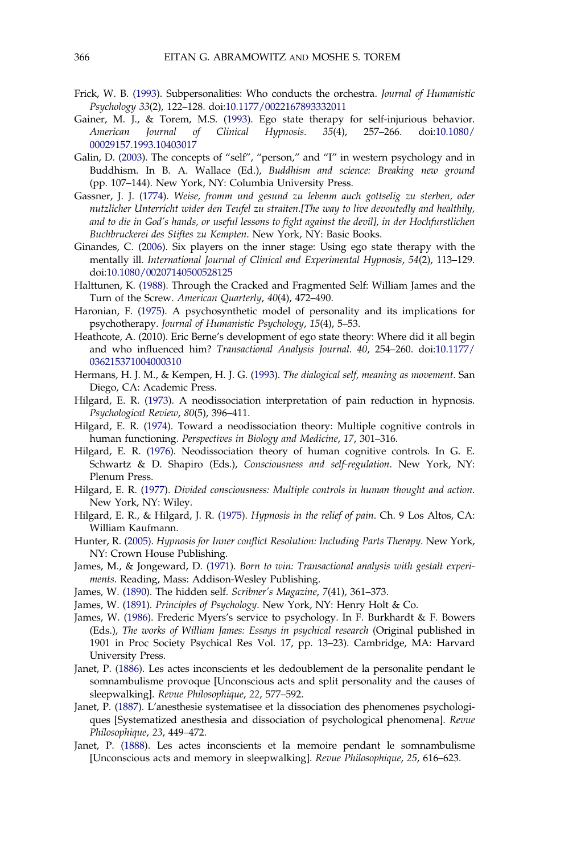- <span id="page-15-0"></span>Frick, W. B. [\(1993](#page-12-0)). Subpersonalities: Who conducts the orchestra. Journal of Humanistic Psychology 33(2), 122–128. doi[:10.1177/0022167893332011](http://dx.doi.org/10.1177/0022167893332011)
- Gainer, M. J., & Torem, M.S. [\(1993\)](#page-12-0). Ego state therapy for self-injurious behavior. American Journal of Clinical Hypnosis. 35(4), 257–266. doi:[10.1080/](http://dx.doi.org/10.1080/00029157.1993.10403017) [00029157.1993.10403017](http://dx.doi.org/10.1080/00029157.1993.10403017)
- Galin, D. ([2003\)](#page-12-0). The concepts of "self", "person," and "I" in western psychology and in Buddhism. In B. A. Wallace (Ed.), Buddhism and science: Breaking new ground (pp. 107–144). New York, NY: Columbia University Press.
- Gassner, J. J. [\(1774](#page-4-0)). Weise, fromm und gesund zu lebenm auch gottselig zu sterben, oder nutzlicher Unterricht wider den Teufel zu straiten.[The way to live devoutedly and healthily, and to die in God's hands, or useful lessons to fight against the devil], in der Hochfurstlichen Buchbruckerei des Stiftes zu Kempten. New York, NY: Basic Books.
- Ginandes, C. ([2006](#page-12-0)). Six players on the inner stage: Using ego state therapy with the mentally ill. International Journal of Clinical and Experimental Hypnosis, 54(2), 113–129. doi[:10.1080/00207140500528125](http://dx.doi.org/10.1080/00207140500528125)
- Halttunen, K. ([1988\)](#page-12-0). Through the Cracked and Fragmented Self: William James and the Turn of the Screw. American Quarterly, 40(4), 472–490.
- Haronian, F. [\(1975\)](#page-12-0). A psychosynthetic model of personality and its implications for psychotherapy. Journal of Humanistic Psychology, 15(4), 5–53.
- Heathcote, A. (2010). Eric Berne's development of ego state theory: Where did it all begin and who influenced him? Transactional Analysis Journal. 40, 254–260. doi:[10.1177/](http://dx.doi.org/10.1177/036215371004000310) [036215371004000310](http://dx.doi.org/10.1177/036215371004000310)
- Hermans, H. J. M., & Kempen, H. J. G. [\(1993](#page-10-0)). The dialogical self, meaning as movement. San Diego, CA: Academic Press.
- Hilgard, E. R. [\(1973](#page-4-0)). A neodissociation interpretation of pain reduction in hypnosis. Psychological Review, 80(5), 396–411.
- Hilgard, E. R. ([1974\)](#page-4-0). Toward a neodissociation theory: Multiple cognitive controls in human functioning. Perspectives in Biology and Medicine, 17, 301–316.
- Hilgard, E. R. ([1976\)](#page-4-0). Neodissociation theory of human cognitive controls. In G. E. Schwartz & D. Shapiro (Eds.), Consciousness and self-regulation. New York, NY: Plenum Press.
- Hilgard, E. R. [\(1977](#page-4-0)). Divided consciousness: Multiple controls in human thought and action. New York, NY: Wiley.
- Hilgard, E. R., & Hilgard, J. R. ([1975\)](#page-12-0). Hypnosis in the relief of pain. Ch. 9 Los Altos, CA: William Kaufmann.
- Hunter, R. [\(2005](#page-12-0)). Hypnosis for Inner conflict Resolution: Including Parts Therapy. New York, NY: Crown House Publishing.
- James, M., & Jongeward, D. ([1971\)](#page-11-0). Born to win: Transactional analysis with gestalt experiments. Reading, Mass: Addison-Wesley Publishing.
- James, W. [\(1890](#page-9-0)). The hidden self. Scribner's Magazine, 7(41), 361–373.
- James, W. [\(1891](#page-9-0)). Principles of Psychology. New York, NY: Henry Holt & Co.
- James, W. [\(1986](#page-12-0)). Frederic Myers's service to psychology. In F. Burkhardt & F. Bowers (Eds.), The works of William James: Essays in psychical research (Original published in 1901 in Proc Society Psychical Res Vol. 17, pp. 13–23). Cambridge, MA: Harvard University Press.
- Janet, P. ([1886](#page-7-0)). Les actes inconscients et les dedoublement de la personalite pendant le somnambulisme provoque [Unconscious acts and split personality and the causes of sleepwalking]. Revue Philosophique, 22, 577–592.
- Janet, P. [\(1887\)](#page-8-0). L'anesthesie systematisee et la dissociation des phenomenes psychologiques [Systematized anesthesia and dissociation of psychological phenomena]. Revue Philosophique, 23, 449–472.
- Janet, P. ([1888\)](#page-8-0). Les actes inconscients et la memoire pendant le somnambulisme [Unconscious acts and memory in sleepwalking]. Revue Philosophique, 25, 616–623.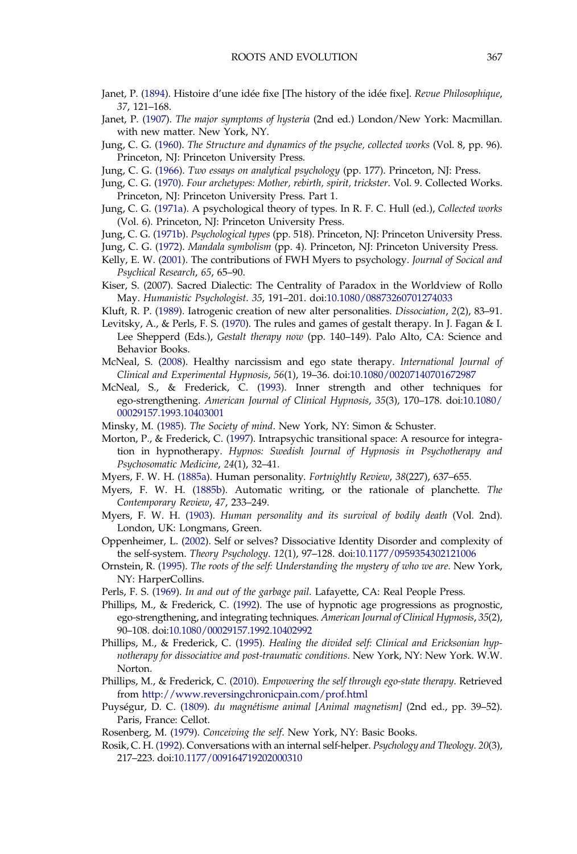- <span id="page-16-0"></span>Janet, P. ([1894\)](#page-9-0). Histoire d'une idée fixe [The history of the idée fixe]. Revue Philosophique, 37, 121–168.
- Janet, P. ([1907\)](#page-7-0). The major symptoms of hysteria (2nd ed.) London/New York: Macmillan. with new matter. New York, NY.
- Jung, C. G. [\(1960](#page-11-0)). The Structure and dynamics of the psyche, collected works (Vol. 8, pp. 96). Princeton, NJ: Princeton University Press.
- Jung, C. G. ([1966\)](#page-11-0). Two essays on analytical psychology (pp. 177). Princeton, NJ: Press.
- Jung, C. G. ([1970\)](#page-11-0). Four archetypes: Mother, rebirth, spirit, trickster. Vol. 9. Collected Works. Princeton, NJ: Princeton University Press. Part 1.
- Jung, C. G. [\(1971a\)](#page-11-0). A psychological theory of types. In R. F. C. Hull (ed.), Collected works (Vol. 6). Princeton, NJ: Princeton University Press.
- Jung, C. G. [\(1971b](#page-11-0)). Psychological types (pp. 518). Princeton, NJ: Princeton University Press.
- Jung, C. G. ([1972\)](#page-11-0). Mandala symbolism (pp. 4). Princeton, NJ: Princeton University Press.
- Kelly, E. W. [\(2001](#page-7-0)). The contributions of FWH Myers to psychology. Journal of Socical and Psychical Research, 65, 65–90.
- Kiser, S. (2007). Sacred Dialectic: The Centrality of Paradox in the Worldview of Rollo May. Humanistic Psychologist. 35, 191–201. doi:[10.1080/08873260701274033](http://dx.doi.org/10.1080/08873260701274033)
- Kluft, R. P. ([1989\)](#page-12-0). Iatrogenic creation of new alter personalities. Dissociation, 2(2), 83–91.
- Levitsky, A., & Perls, F. S. ([1970](#page-12-0)). The rules and games of gestalt therapy. In J. Fagan & I. Lee Shepperd (Eds.), Gestalt therapy now (pp. 140-149). Palo Alto, CA: Science and Behavior Books.
- McNeal, S. [\(2008](#page-12-0)). Healthy narcissism and ego state therapy. International Journal of Clinical and Experimental Hypnosis, 56(1), 19–36. doi[:10.1080/00207140701672987](http://dx.doi.org/10.1080/00207140701672987)
- McNeal, S., & Frederick, C. [\(1993](#page-12-0)). Inner strength and other techniques for ego-strengthening. American Journal of Clinical Hypnosis, 35(3), 170–178. doi[:10.1080/](http://dx.doi.org/10.1080/00029157.1993.10403001) [00029157.1993.10403001](http://dx.doi.org/10.1080/00029157.1993.10403001)
- Minsky, M. [\(1985\)](#page-9-0). The Society of mind. New York, NY: Simon & Schuster.
- Morton, P., & Frederick, C. [\(1997\)](#page-12-0). Intrapsychic transitional space: A resource for integration in hypnotherapy. Hypnos: Swedish Journal of Hypnosis in Psychotherapy and Psychosomatic Medicine, 24(1), 32–41.
- Myers, F. W. H. [\(1885a](#page-6-0)). Human personality. Fortnightly Review, 38(227), 637–655.
- Myers, F. W. H. ([1885b](#page-6-0)). Automatic writing, or the rationale of planchette. The Contemporary Review, 47, 233–249.
- Myers, F. W. H. [\(1903](#page-6-0)). Human personality and its survival of bodily death (Vol. 2nd). London, UK: Longmans, Green.
- Oppenheimer, L. [\(2002](#page-12-0)). Self or selves? Dissociative Identity Disorder and complexity of the self-system. Theory Psychology. 12(1), 97–128. doi[:10.1177/0959354302121006](http://dx.doi.org/10.1177/0959354302121006)
- Ornstein, R. ([1995\)](#page-12-0). The roots of the self: Understanding the mystery of who we are. New York, NY: HarperCollins.
- Perls, F. S. [\(1969](#page-11-0)). In and out of the garbage pail. Lafayette, CA: Real People Press.
- Phillips, M., & Frederick, C. [\(1992\)](#page-12-0). The use of hypnotic age progressions as prognostic, ego-strengthening, and integrating techniques. American Journal of Clinical Hypnosis, 35(2), 90–108. doi:[10.1080/00029157.1992.10402992](http://dx.doi.org/10.1080/00029157.1992.10402992)
- Phillips, M., & Frederick, C. [\(1995](#page-12-0)). Healing the divided self: Clinical and Ericksonian hypnotherapy for dissociative and post-traumatic conditions. New York, NY: New York. W.W. Norton.
- Phillips, M., & Frederick, C. ([2010\)](#page-12-0). Empowering the self through ego-state therapy. Retrieved from <http://www.reversingchronicpain.com/prof.html>
- Puységur, D. C. [\(1809](#page-5-0)). du magnétisme animal [Animal magnetism] (2nd ed., pp. 39–52). Paris, France: Cellot.
- Rosenberg, M. [\(1979](#page-9-0)). Conceiving the self. New York, NY: Basic Books.
- Rosik, C. H. [\(1992\)](#page-12-0). Conversations with an internal self-helper. Psychology and Theology. 20(3), 217–223. doi:[10.1177/009164719202000310](http://dx.doi.org/10.1177/009164719202000310)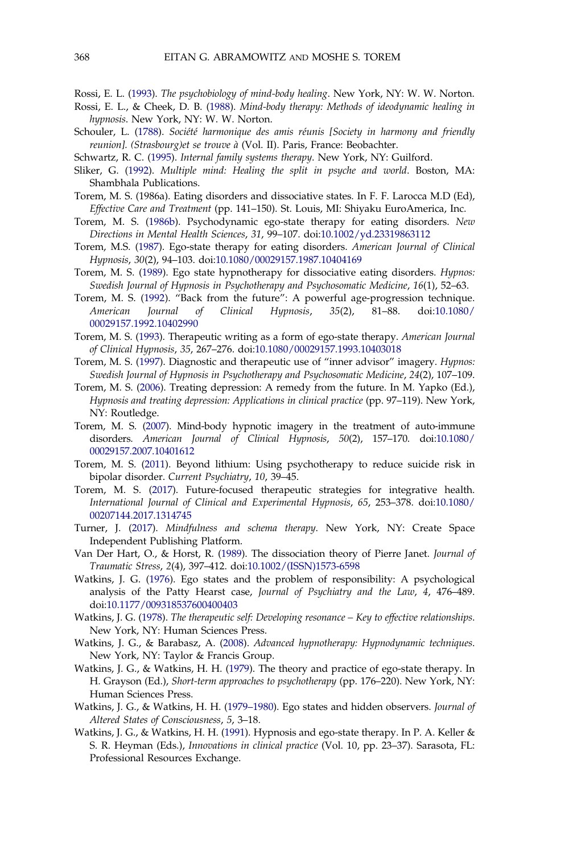- <span id="page-17-0"></span>Rossi, E. L. ([1993](#page-12-0)). The psychobiology of mind-body healing. New York, NY: W. W. Norton.
- Rossi, E. L., & Cheek, D. B. ([1988](#page-12-0)). Mind-body therapy: Methods of ideodynamic healing in hypnosis. New York, NY: W. W. Norton.
- Schouler, L. ([1788\)](#page-5-0). Société harmonique des amis réunis [Society in harmony and friendly reunion]. (Strasbourg)et se trouve à (Vol. II). Paris, France: Beobachter.
- Schwartz, R. C. ([1995\)](#page-12-0). Internal family systems therapy. New York, NY: Guilford.
- Sliker, G. [\(1992\)](#page-10-0). Multiple mind: Healing the split in psyche and world. Boston, MA: Shambhala Publications.
- Torem, M. S. (1986a). Eating disorders and dissociative states. In F. F. Larocca M.D (Ed), Effective Care and Treatment (pp. 141–150). St. Louis, MI: Shiyaku EuroAmerica, Inc.
- Torem, M. S. [\(1986b](#page-12-0)). Psychodynamic ego-state therapy for eating disorders. New Directions in Mental Health Sciences, 31, 99–107. doi[:10.1002/yd.23319863112](http://dx.doi.org/10.1002/yd.23319863112)
- Torem, M.S. [\(1987\)](#page-12-0). Ego-state therapy for eating disorders. American Journal of Clinical Hypnosis, 30(2), 94–103. doi[:10.1080/00029157.1987.10404169](http://dx.doi.org/10.1080/00029157.1987.10404169)
- Torem, M. S. ([1989\)](#page-12-0). Ego state hypnotherapy for dissociative eating disorders. Hypnos: Swedish Journal of Hypnosis in Psychotherapy and Psychosomatic Medicine, 16(1), 52–63.
- Torem, M. S. [\(1992\)](#page-12-0). "Back from the future": A powerful age-progression technique. American Journal of Clinical Hypnosis, 35(2), 81–88. doi[:10.1080/](http://dx.doi.org/10.1080/00029157.1992.10402990) [00029157.1992.10402990](http://dx.doi.org/10.1080/00029157.1992.10402990)
- Torem, M. S. [\(1993](#page-12-0)). Therapeutic writing as a form of ego-state therapy. American Journal of Clinical Hypnosis, 35, 267–276. doi[:10.1080/00029157.1993.10403018](http://dx.doi.org/10.1080/00029157.1993.10403018)
- Torem, M. S. ([1997\)](#page-12-0). Diagnostic and therapeutic use of "inner advisor" imagery. Hypnos: Swedish Journal of Hypnosis in Psychotherapy and Psychosomatic Medicine, 24(2), 107–109.
- Torem, M. S. [\(2006](#page-12-0)). Treating depression: A remedy from the future. In M. Yapko (Ed.), Hypnosis and treating depression: Applications in clinical practice (pp. 97–119). New York, NY: Routledge.
- Torem, M. S. ([2007](#page-12-0)). Mind-body hypnotic imagery in the treatment of auto-immune disorders. American Journal of Clinical Hypnosis, 50(2), 157–170. doi[:10.1080/](http://dx.doi.org/10.1080/00029157.2007.10401612) [00029157.2007.10401612](http://dx.doi.org/10.1080/00029157.2007.10401612)
- Torem, M. S. [\(2011\)](#page-12-0). Beyond lithium: Using psychotherapy to reduce suicide risk in bipolar disorder. Current Psychiatry, 10, 39–45.
- Torem, M. S. ([2017\)](#page-12-0). Future-focused therapeutic strategies for integrative health. International Journal of Clinical and Experimental Hypnosis, 65, 253–378. doi:[10.1080/](http://dx.doi.org/10.1080/00207144.2017.1314745) [00207144.2017.1314745](http://dx.doi.org/10.1080/00207144.2017.1314745)
- Turner, J. ([2017\)](#page-12-0). Mindfulness and schema therapy. New York, NY: Create Space Independent Publishing Platform.
- Van Der Hart, O., & Horst, R. ([1989\)](#page-9-0). The dissociation theory of Pierre Janet. Journal of Traumatic Stress, 2(4), 397–412. doi[:10.1002/\(ISSN\)1573-6598](http://dx.doi.org/10.1002/(ISSN)1573-6598)
- Watkins, J. G. ([1976](#page-2-0)). Ego states and the problem of responsibility: A psychological analysis of the Patty Hearst case, Journal of Psychiatry and the Law, 4, 476–489. doi[:10.1177/009318537600400403](http://dx.doi.org/10.1177/009318537600400403)
- Watkins, J. G. ([1978\)](#page-3-0). The therapeutic self: Developing resonance Key to effective relationships. New York, NY: Human Sciences Press.
- Watkins, J. G., & Barabasz, A. [\(2008](#page-3-0)). Advanced hypnotherapy: Hypnodynamic techniques. New York, NY: Taylor & Francis Group.
- Watkins, J. G., & Watkins, H. H. ([1979\)](#page-3-0). The theory and practice of ego-state therapy. In H. Grayson (Ed.), Short-term approaches to psychotherapy (pp. 176–220). New York, NY: Human Sciences Press.
- Watkins, J. G., & Watkins, H. H. (1979–[1980](#page-4-0)). Ego states and hidden observers. Journal of Altered States of Consciousness, 5, 3–18.
- Watkins, J. G., & Watkins, H. H. [\(1991](#page-4-0)). Hypnosis and ego-state therapy. In P. A. Keller & S. R. Heyman (Eds.), Innovations in clinical practice (Vol. 10, pp. 23–37). Sarasota, FL: Professional Resources Exchange.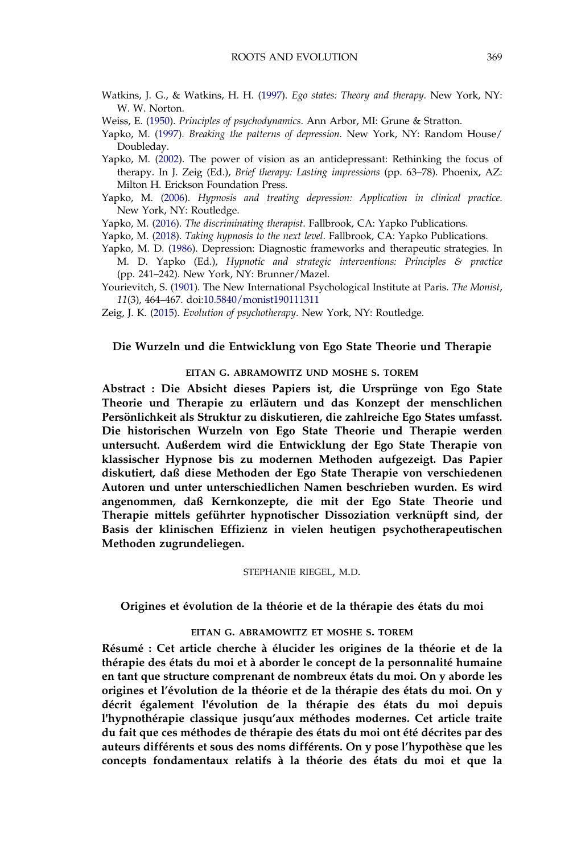- <span id="page-18-0"></span>Watkins, J. G., & Watkins, H. H. ([1997\)](#page-4-0). Ego states: Theory and therapy. New York, NY: W. W. Norton.
- Weiss, E. ([1950](#page-3-0)). Principles of psychodynamics. Ann Arbor, MI: Grune & Stratton.
- Yapko, M. [\(1997](#page-12-0)). Breaking the patterns of depression. New York, NY: Random House/ Doubleday.
- Yapko, M. ([2002](#page-12-0)). The power of vision as an antidepressant: Rethinking the focus of therapy. In J. Zeig (Ed.), Brief therapy: Lasting impressions (pp. 63-78). Phoenix, AZ: Milton H. Erickson Foundation Press.
- Yapko, M. ([2006\)](#page-12-0). Hypnosis and treating depression: Application in clinical practice. New York, NY: Routledge.
- Yapko, M. [\(2016](#page-12-0)). The discriminating therapist. Fallbrook, CA: Yapko Publications.
- Yapko, M. [\(2018](#page-12-0)). Taking hypnosis to the next level. Fallbrook, CA: Yapko Publications.
- Yapko, M. D. ([1986\)](#page-12-0). Depression: Diagnostic frameworks and therapeutic strategies. In M. D. Yapko (Ed.), Hypnotic and strategic interventions: Principles & practice (pp. 241–242). New York, NY: Brunner/Mazel.

Yourievitch, S. ([1901](#page-7-0)). The New International Psychological Institute at Paris. The Monist, 11(3), 464–467. doi:[10.5840/monist190111311](http://dx.doi.org/10.5840/monist190111311)

Zeig, J. K. ([2015\)](#page-12-0). Evolution of psychotherapy. New York, NY: Routledge.

#### Die Wurzeln und die Entwicklung von Ego State Theorie und Therapie

#### EITAN G. ABRAMOWITZ UND MOSHE S. TOREM

Abstract : Die Absicht dieses Papiers ist, die Ursprünge von Ego State Theorie und Therapie zu erläutern und das Konzept der menschlichen Persönlichkeit als Struktur zu diskutieren, die zahlreiche Ego States umfasst. Die historischen Wurzeln von Ego State Theorie und Therapie werden untersucht. Außerdem wird die Entwicklung der Ego State Therapie von klassischer Hypnose bis zu modernen Methoden aufgezeigt. Das Papier diskutiert, daß diese Methoden der Ego State Therapie von verschiedenen Autoren und unter unterschiedlichen Namen beschrieben wurden. Es wird angenommen, daß Kernkonzepte, die mit der Ego State Theorie und Therapie mittels geführter hypnotischer Dissoziation verknüpft sind, der Basis der klinischen Effizienz in vielen heutigen psychotherapeutischen Methoden zugrundeliegen.

STEPHANIE RIEGEL, M.D.

Origines et évolution de la théorie et de la thérapie des états du moi

#### EITAN G. ABRAMOWITZ ET MOSHE S. TOREM

Résumé : Cet article cherche à élucider les origines de la théorie et de la thérapie des états du moi et à aborder le concept de la personnalité humaine en tant que structure comprenant de nombreux états du moi. On y aborde les origines et l'évolution de la théorie et de la thérapie des états du moi. On y décrit également l'évolution de la thérapie des états du moi depuis l'hypnothérapie classique jusqu'aux méthodes modernes. Cet article traite du fait que ces méthodes de thérapie des états du moi ont été décrites par des auteurs différents et sous des noms différents. On y pose l'hypothèse que les concepts fondamentaux relatifs à la théorie des états du moi et que la